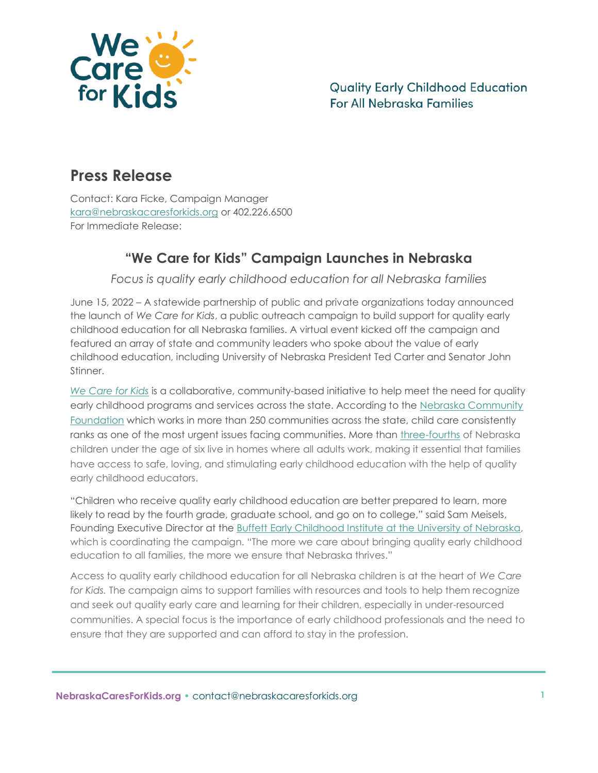

## **Press Release**

Contact: Kara Ficke, Campaign Manager [kara@nebraskacaresforkids.org](mailto:kara@nebraskacaresforkids.org) or 402.226.6500 For Immediate Release:

## **"We Care for Kids" Campaign Launches in Nebraska**

*Focus is quality early childhood education for all Nebraska families*

June 15, 2022 – A statewide partnership of public and private organizations today announced the launch of *We Care for Kids*, a public outreach campaign to build support for quality early childhood education for all Nebraska families. A virtual event kicked off the campaign and featured an array of state and community leaders who spoke about the value of early childhood education, including University of Nebraska President Ted Carter and Senator John Stinner.

*[We Care for Kids](http://nebraskacaresforkids.org/)* is a collaborative, community-based initiative to help meet the need for quality early childhood programs and services across the state. According to the Nebraska Community [Foundation](https://www.nebcommfound.org/) which works in more than 250 communities across the state, child care consistently ranks as one of the most urgent issues facing communities. More than [three-fourths](https://buffettinstitute.nebraska.edu/-/media/beci/docs/ec-by-the-numbers-jan-2022.pdf) of Nebraska children under the age of six live in homes where all adults work, making it essential that families have access to safe, loving, and stimulating early childhood education with the help of quality early childhood educators.

"Children who receive quality early childhood education are better prepared to learn, more likely to read by the fourth grade, graduate school, and go on to college," said Sam Meisels, Founding Executive Director at the [Buffett Early Childhood Institute at the University of Nebraska,](http://buffettinstitute.nebraska.edu/) which is coordinating the campaign. "The more we care about bringing quality early childhood education to all families, the more we ensure that Nebraska thrives."

Access to quality early childhood education for all Nebraska children is at the heart of *We Care for Kids.* The campaign aims to support families with resources and tools to help them recognize and seek out quality early care and learning for their children, especially in under-resourced communities. A special focus is the importance of early childhood professionals and the need to ensure that they are supported and can afford to stay in the profession.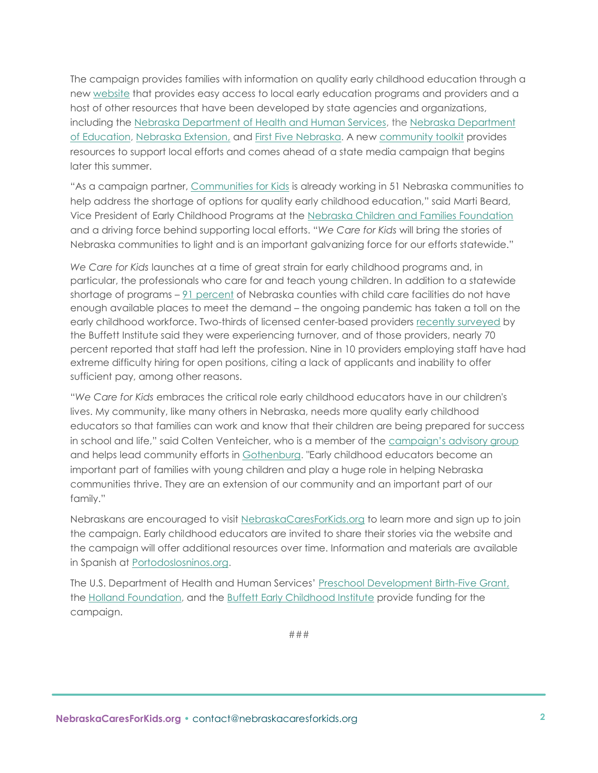The campaign provides families with information on quality early childhood education through a new [website](http://nebraskacaresforkids.org/) that provides easy access to local early education programs and providers and a host of other resources that have been developed by state agencies and organizations, including the [Nebraska Department of Health and Human Services,](https://dhhs.ne.gov/Pages/default.aspx) th[e Nebraska Department](https://www.education.ne.gov/)  [of Education,](https://www.education.ne.gov/) [Nebraska Extension,](https://extension.unl.edu/) and [First Five Nebraska.](https://www.firstfivenebraska.org/) A new [community toolkit](https://nebraskacaresforkids.org/community-tools/) provides resources to support local efforts and comes ahead of a state media campaign that begins later this summer.

"As a campaign partner, [Communities for Kids](https://www.communitiesforkids.org/welcome.html) is already working in 51 Nebraska communities to help address the shortage of options for quality early childhood education," said Marti Beard, Vice President of Early Childhood Programs at the [Nebraska Children and Families Foundation](http://nebraskachildren.org/) and a driving force behind supporting local efforts. "*We Care for Kids* will bring the stories of Nebraska communities to light and is an important galvanizing force for our efforts statewide."

*We Care for Kids* launches at a time of great strain for early childhood programs and, in particular, the professionals who care for and teach young children. In addition to a statewide shortage of programs – [91 percent](https://buffettinstitute.nebraska.edu/-/media/beci/docs/ec-by-the-numbers-jan-2022.pdf) of Nebraska counties with child care facilities do not have enough available places to meet the demand – the ongoing pandemic has taken a toll on the early childhood workforce. Two-thirds of licensed center-based providers [recently surveyed](https://buffettinstitute.nebraska.edu/-/media/beci/docs/covid-iii-report-05162022.pdf) by the Buffett Institute said they were experiencing turnover, and of those providers, nearly 70 percent reported that staff had left the profession. Nine in 10 providers employing staff have had extreme difficulty hiring for open positions, citing a lack of applicants and inability to offer sufficient pay, among other reasons.

"*We Care for Kids* embraces the critical role early childhood educators have in our children's lives. My community, like many others in Nebraska, needs more quality early childhood educators so that families can work and know that their children are being prepared for success in school and life," said Colten Venteicher, who is a member of the [campaign's advisory group](https://nebraskacaresforkids.org/wp-content/uploads/2022/06/F_Campaign-Advisory-Group_061322-1.pdf) and helps lead community efforts in [Gothenburg.](https://www.geclc.org/) "Early childhood educators become an important part of families with young children and play a huge role in helping Nebraska communities thrive. They are an extension of our community and an important part of our family."

Nebraskans are encouraged to visit [NebraskaCaresForKids.org](http://www.nebraskacaresforkids.org/) to learn more and sign up to join the campaign. Early childhood educators are invited to share their stories via the website and the campaign will offer additional resources over time. Information and materials are available in Spanish at [Portodoslosninos.org.](https://nebraskacaresforkids.org/es/)

The U.S. Department of Health and Human Services' [Preschool Development Birth-Five Grant,](https://nebraskapdg.org/) the [Holland Foundation,](http://www.thehollandfoundation.org/) and the [Buffett Early Childhood Institute](http://buffettinstitute.nebraska.edu/) provide funding for the campaign.

###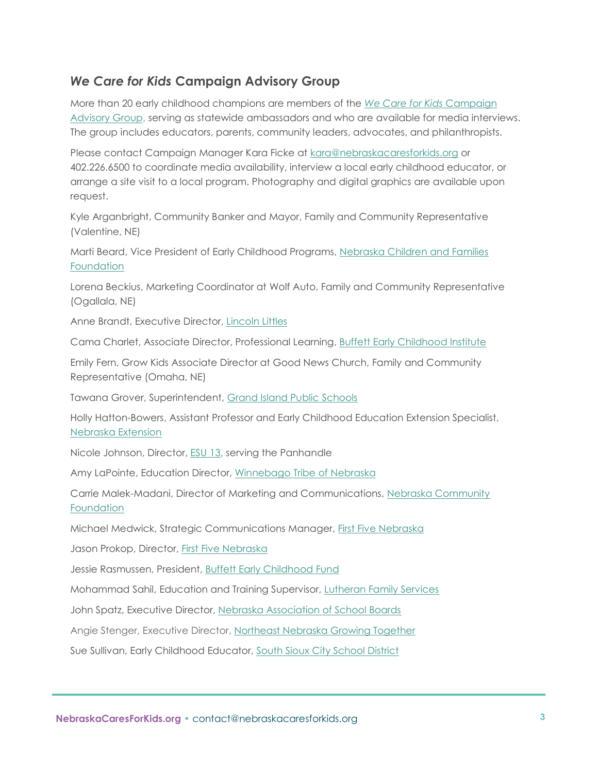## *We Care for Kids* **Campaign Advisory Group**

More than 20 early childhood champions are members of the *[We Care for Kids](https://nebraskacaresforkids.org/wp-content/uploads/2022/06/F_Campaign-Advisory-Group_061322-1.pdf)* Campaign [Advisory Group,](https://nebraskacaresforkids.org/wp-content/uploads/2022/06/F_Campaign-Advisory-Group_061322-1.pdf) serving as statewide ambassadors and who are available for media interviews. The group includes educators, parents, community leaders, advocates, and philanthropists.

Please contact Campaign Manager Kara Ficke at [kara@nebraskacaresforkids.org](mailto:kara@nebraskacaresforkids.org) or 402.226.6500 to coordinate media availability, interview a local early childhood educator, or arrange a site visit to a local program. Photography and digital graphics are available upon request.

Kyle Arganbright, Community Banker and Mayor, Family and Community Representative (Valentine, NE)

Marti Beard, Vice President of Early Childhood Programs, [Nebraska Children and Families](https://www.nebraskachildren.org/)  **[Foundation](https://www.nebraskachildren.org/)** 

Lorena Beckius, Marketing Coordinator at Wolf Auto, Family and Community Representative (Ogallala, NE)

Anne Brandt, Executive Director, [Lincoln Littles](https://lincolnlittles.org/)

Cama Charlet, Associate Director, Professional Learning, [Buffett Early Childhood Institute](https://buffettinstitute.nebraska.edu/)

Emily Fern, Grow Kids Associate Director at Good News Church, Family and Community Representative (Omaha, NE)

Tawana Grover, Superintendent, [Grand Island Public Schools](https://www.gips.org/)

Holly Hatton-Bowers, Assistant Professor and Early Childhood Education Extension Specialist, [Nebraska Extension](https://extension.unl.edu/)

Nicole Johnson, Director, [ESU 13,](https://www.esu13.org/) serving the Panhandle

Amy LaPointe, Education Director, [Winnebago Tribe](http://www.winnebagotribe.com/) of Nebraska

Carrie Malek-Madani, Director of Marketing and Communications, [Nebraska Community](https://www.nebcommfound.org/)  **[Foundation](https://www.nebcommfound.org/)** 

Michael Medwick, Strategic Communications Manager, [First Five Nebraska](https://www.firstfivenebraska.org/)

Jason Prokop, Director, [First Five Nebraska](https://www.firstfivenebraska.org/)

Jessie Rasmussen, President, [Buffett Early Childhood Fund](http://buffettearly.org/)

Mohammad Sahil, Education and Training Supervisor, [Lutheran Family Services](https://www.lfsneb.org/)

John Spatz, Executive Director, [Nebraska Association of School Boards](http://members.nasbonline.org/)

Angie Stenger, Executive Director, [Northeast Nebraska Growing Together](https://growingtogetherne.com/)

Sue Sullivan, Early Childhood Educator, [South Sioux City School District](https://www.ssccardinals.org/)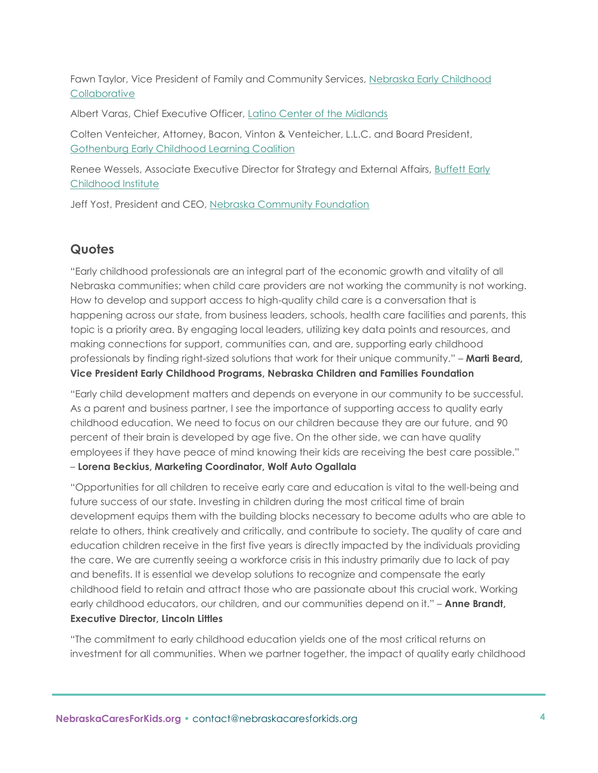Fawn Taylor, Vice President of Family and Community Services, [Nebraska Early Childhood](https://nebraskaearly.org/)  **[Collaborative](https://nebraskaearly.org/)** 

Albert Varas, Chief Executive Officer, [Latino Center of the Midlands](https://www.latinocenter.org/)

Colten Venteicher, Attorney, Bacon, Vinton & Venteicher, L.L.C. and Board President, [Gothenburg Early Childhood Learning Coalition](https://www.geclc.org/)

Renee Wessels, Associate Executive Director for Strategy and External Affairs, [Buffett Early](https://buffettinstitute.nebraska.edu/)  [Childhood Institute](https://buffettinstitute.nebraska.edu/)

Jeff Yost, President and CEO, [Nebraska Community Foundation](https://www.nebcommfound.org/)

## **Quotes**

"Early childhood professionals are an integral part of the economic growth and vitality of all Nebraska communities; when child care providers are not working the community is not working. How to develop and support access to high-quality child care is a conversation that is happening across our state, from business leaders, schools, health care facilities and parents, this topic is a priority area. By engaging local leaders, utilizing key data points and resources, and making connections for support, communities can, and are, supporting early childhood professionals by finding right-sized solutions that work for their unique community." – **Marti Beard, Vice President Early Childhood Programs, Nebraska Children and Families Foundation**

"Early child development matters and depends on everyone in our community to be successful. As a parent and business partner, I see the importance of supporting access to quality early childhood education. We need to focus on our children because they are our future, and 90 percent of their brain is developed by age five. On the other side, we can have quality employees if they have peace of mind knowing their kids are receiving the best care possible." – **Lorena Beckius, Marketing Coordinator, Wolf Auto Ogallala**

"Opportunities for all children to receive early care and education is vital to the well-being and future success of our state. Investing in children during the most critical time of brain development equips them with the building blocks necessary to become adults who are able to relate to others, think creatively and critically, and contribute to society. The quality of care and education children receive in the first five years is directly impacted by the individuals providing the care. We are currently seeing a workforce crisis in this industry primarily due to lack of pay and benefits. It is essential we develop solutions to recognize and compensate the early childhood field to retain and attract those who are passionate about this crucial work. Working early childhood educators, our children, and our communities depend on it." – **Anne Brandt, Executive Director, Lincoln Littles**

"The commitment to early childhood education yields one of the most critical returns on investment for all communities. When we partner together, the impact of quality early childhood